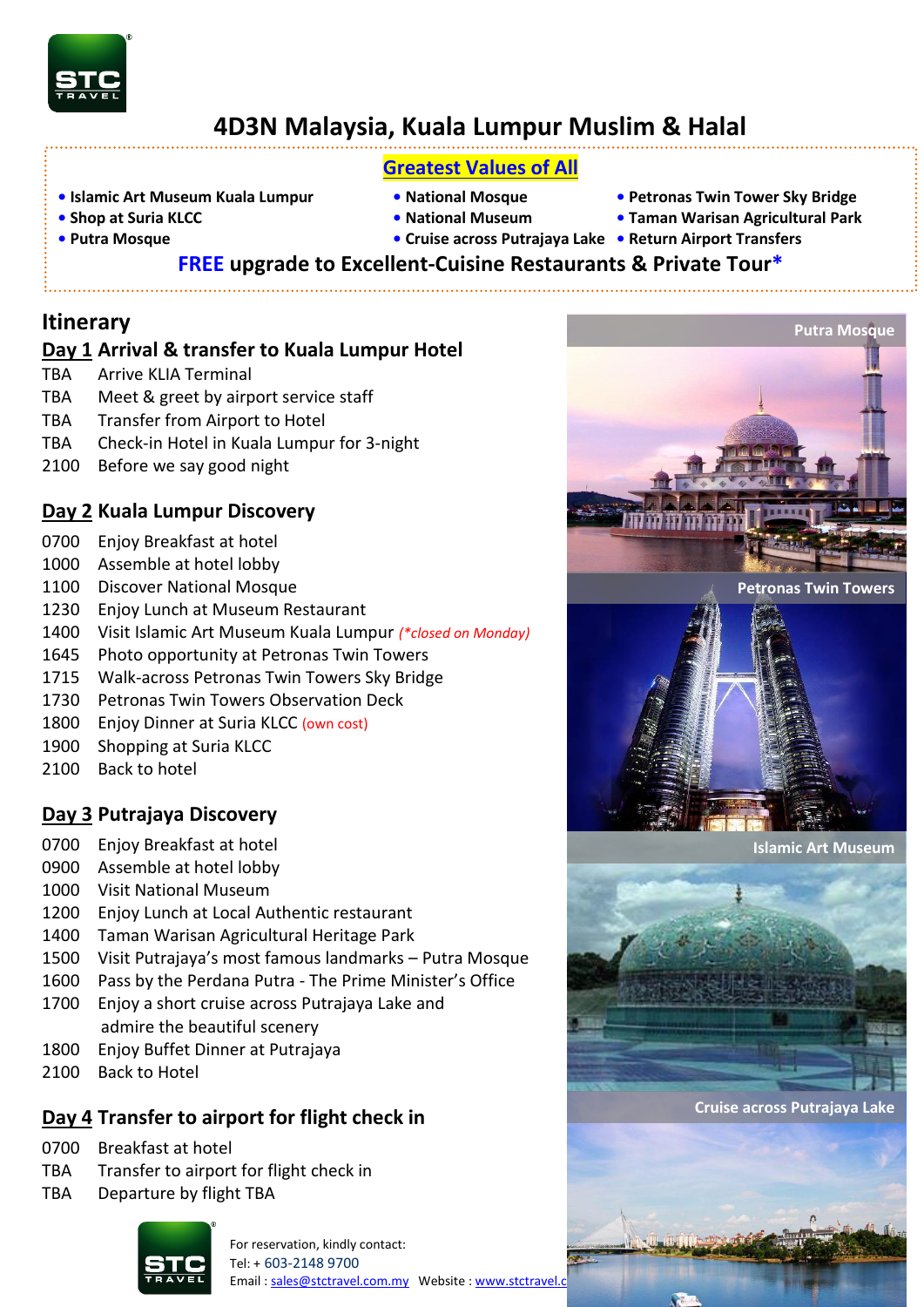

# **4D3N Malaysia, Kuala Lumpur Muslim & Halal**

## **Greatest Values of All**

- **• Islamic Art Museum Kuala Lumpur National Mosque Petronas Twin Tower Sky Bridge**
- 

- 
- 
- **• Shop at Suria KLCC National Museum Taman Warisan Agricultural Park**

**Putra Mosque**

- 
- 
- 
- **Putra Mosque • Cruise across Putrajaya Lake Return Airport Transfers**
	- **FREE upgrade to Excellent-Cuisine Restaurants & Private Tour\***

## **Itinerary**

#### **Day 1 Arrival & transfer to Kuala Lumpur Hotel**

- TBA Arrive KLIA Terminal
- TBA Meet & greet by airport service staff
- TBA Transfer from Airport to Hotel
- TBA Check-in Hotel in Kuala Lumpur for 3-night
- 2100 Before we say good night

### **Day 2 Kuala Lumpur Discovery**

- 0700 Enjoy Breakfast at hotel
- 1000 Assemble at hotel lobby
- 1100 Discover National Mosque
- 1230 Enjoy Lunch at Museum Restaurant
- 1400 Visit Islamic Art Museum Kuala Lumpur *(\*closed on Monday)*
- 1645 Photo opportunity at Petronas Twin Towers
- 1715 Walk-across Petronas Twin Towers Sky Bridge
- 1730 Petronas Twin Towers Observation Deck
- 1800 Enjoy Dinner at Suria KLCC (own cost)
- 1900 Shopping at Suria KLCC
- 2100 Back to hotel

## **Day 3 Putrajaya Discovery**

- 0700 Enjoy Breakfast at hotel
- 0900 Assemble at hotel lobby
- 1000 Visit National Museum
- 1200 Enjoy Lunch at Local Authentic restaurant
- 1400 Taman Warisan Agricultural Heritage Park
- 1500 Visit Putrajaya's most famous landmarks Putra Mosque
- 1600 Pass by the Perdana Putra The Prime Minister's Office
- 1700 Enjoy a short cruise across Putrajaya Lake and admire the beautiful scenery
- 1800 Enjoy Buffet Dinner at Putrajaya
- 2100 Back to Hotel

## **Day 4 Transfer to airport for flight check in**

- 0700 Breakfast at hotel
- TBA Transfer to airport for flight check in
- TBA Departure by flight TBA



For reservation, kindly contact: Tel: + 603-2148 9700 Email[: sales@stctravel.com.my](mailto:sales@stctravel.com.my)  Website : www.stctravel.com



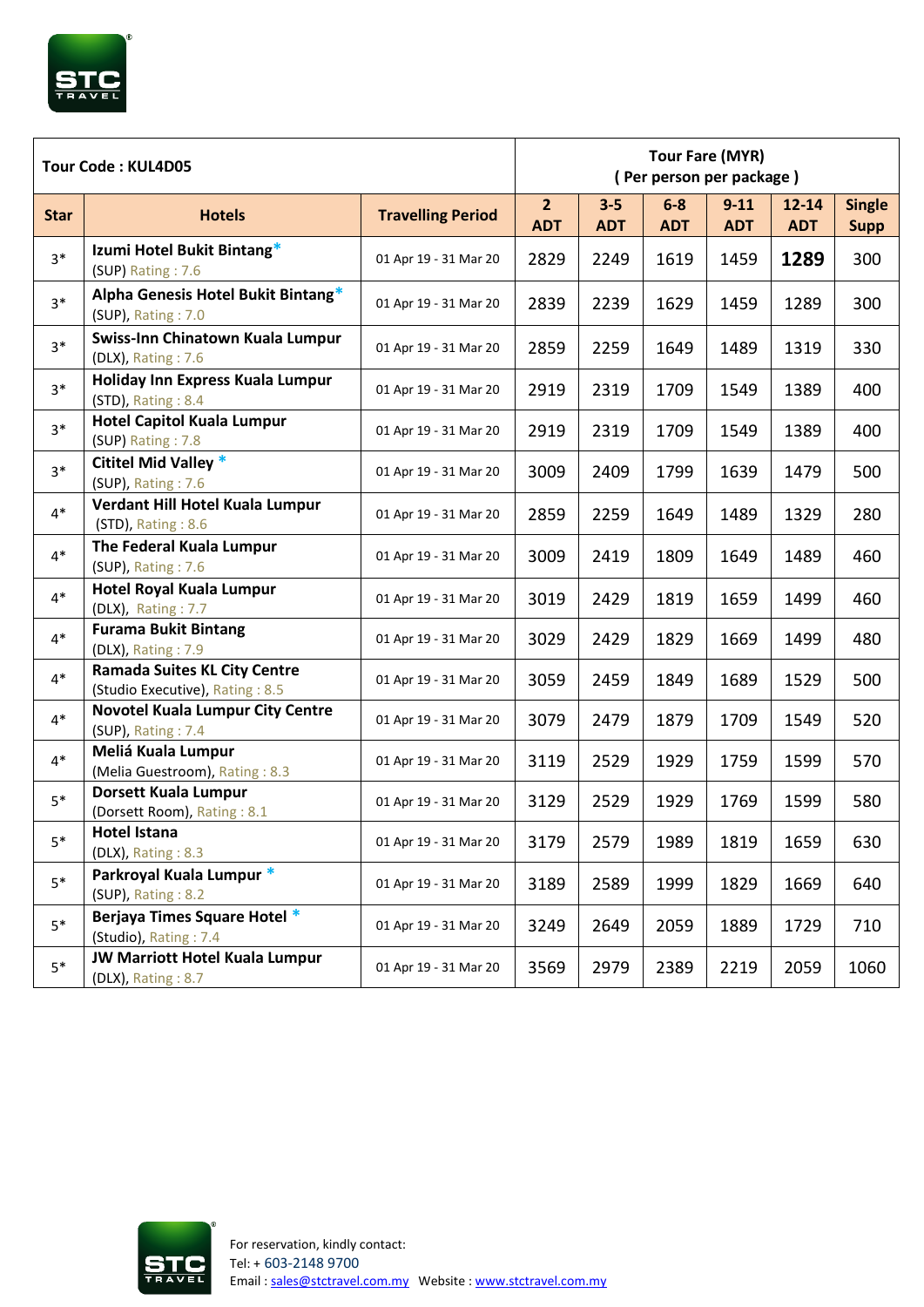

| Tour Code: KUL4D05 |                                                                        |                          | <b>Tour Fare (MYR)</b><br>(Per person per package) |                       |                     |                        |                         |                              |
|--------------------|------------------------------------------------------------------------|--------------------------|----------------------------------------------------|-----------------------|---------------------|------------------------|-------------------------|------------------------------|
| <b>Star</b>        | <b>Hotels</b>                                                          | <b>Travelling Period</b> | 2 <sup>1</sup><br><b>ADT</b>                       | $3 - 5$<br><b>ADT</b> | $6-8$<br><b>ADT</b> | $9 - 11$<br><b>ADT</b> | $12 - 14$<br><b>ADT</b> | <b>Single</b><br><b>Supp</b> |
| $3*$               | Izumi Hotel Bukit Bintang*<br>(SUP) Rating: 7.6                        | 01 Apr 19 - 31 Mar 20    | 2829                                               | 2249                  | 1619                | 1459                   | 1289                    | 300                          |
| $3*$               | Alpha Genesis Hotel Bukit Bintang*<br>(SUP), Rating: 7.0               | 01 Apr 19 - 31 Mar 20    | 2839                                               | 2239                  | 1629                | 1459                   | 1289                    | 300                          |
| $3*$               | Swiss-Inn Chinatown Kuala Lumpur<br>(DLX), Rating: 7.6                 | 01 Apr 19 - 31 Mar 20    | 2859                                               | 2259                  | 1649                | 1489                   | 1319                    | 330                          |
| $3*$               | Holiday Inn Express Kuala Lumpur<br>(STD), Rating: 8.4                 | 01 Apr 19 - 31 Mar 20    | 2919                                               | 2319                  | 1709                | 1549                   | 1389                    | 400                          |
| $3*$               | <b>Hotel Capitol Kuala Lumpur</b><br>(SUP) Rating: 7.8                 | 01 Apr 19 - 31 Mar 20    | 2919                                               | 2319                  | 1709                | 1549                   | 1389                    | 400                          |
| $3*$               | <b>Cititel Mid Valley *</b><br>(SUP), Rating: 7.6                      | 01 Apr 19 - 31 Mar 20    | 3009                                               | 2409                  | 1799                | 1639                   | 1479                    | 500                          |
| $4*$               | Verdant Hill Hotel Kuala Lumpur<br>(STD), Rating: 8.6                  | 01 Apr 19 - 31 Mar 20    | 2859                                               | 2259                  | 1649                | 1489                   | 1329                    | 280                          |
| $4*$               | The Federal Kuala Lumpur<br>(SUP), Rating: 7.6                         | 01 Apr 19 - 31 Mar 20    | 3009                                               | 2419                  | 1809                | 1649                   | 1489                    | 460                          |
| $4*$               | <b>Hotel Royal Kuala Lumpur</b><br>(DLX), Rating: 7.7                  | 01 Apr 19 - 31 Mar 20    | 3019                                               | 2429                  | 1819                | 1659                   | 1499                    | 460                          |
| $4*$               | <b>Furama Bukit Bintang</b><br>(DLX), Rating: 7.9                      | 01 Apr 19 - 31 Mar 20    | 3029                                               | 2429                  | 1829                | 1669                   | 1499                    | 480                          |
| $4*$               | <b>Ramada Suites KL City Centre</b><br>(Studio Executive), Rating: 8.5 | 01 Apr 19 - 31 Mar 20    | 3059                                               | 2459                  | 1849                | 1689                   | 1529                    | 500                          |
| $4*$               | <b>Novotel Kuala Lumpur City Centre</b><br>(SUP), Rating: 7.4          | 01 Apr 19 - 31 Mar 20    | 3079                                               | 2479                  | 1879                | 1709                   | 1549                    | 520                          |
| $4*$               | Meliá Kuala Lumpur<br>(Melia Guestroom), Rating: 8.3                   | 01 Apr 19 - 31 Mar 20    | 3119                                               | 2529                  | 1929                | 1759                   | 1599                    | 570                          |
| $5*$               | <b>Dorsett Kuala Lumpur</b><br>(Dorsett Room), Rating: 8.1             | 01 Apr 19 - 31 Mar 20    | 3129                                               | 2529                  | 1929                | 1769                   | 1599                    | 580                          |
| $5*$               | Hotel Istana<br>(DLX), Rating: 8.3                                     | 01 Apr 19 - 31 Mar 20    | 3179                                               | 2579                  | 1989                | 1819                   | 1659                    | 630                          |
| $5*$               | Parkroyal Kuala Lumpur *<br>(SUP), Rating: 8.2                         | 01 Apr 19 - 31 Mar 20    | 3189                                               | 2589                  | 1999                | 1829                   | 1669                    | 640                          |
| $5*$               | Berjaya Times Square Hotel *<br>(Studio), Rating: 7.4                  | 01 Apr 19 - 31 Mar 20    | 3249                                               | 2649                  | 2059                | 1889                   | 1729                    | 710                          |
| $5*$               | JW Marriott Hotel Kuala Lumpur<br>(DLX), Rating: 8.7                   | 01 Apr 19 - 31 Mar 20    | 3569                                               | 2979                  | 2389                | 2219                   | 2059                    | 1060                         |